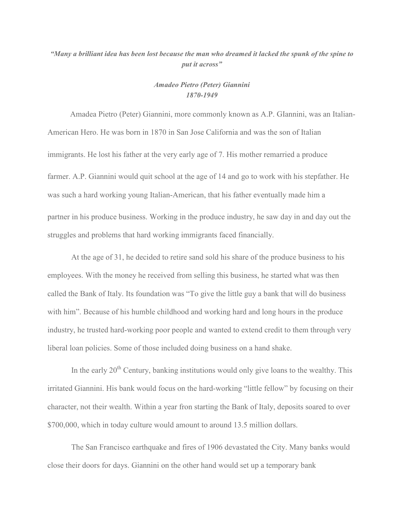## *"Many a brilliant idea has been lost because the man who dreamed it lacked the spunk of the spine to put it across"*

## *Amadeo Pietro (Peter) Giannini 1870-1949*

 Amadea Pietro (Peter) Giannini, more commonly known as A.P. GIannini, was an Italian-American Hero. He was born in 1870 in San Jose California and was the son of Italian immigrants. He lost his father at the very early age of 7. His mother remarried a produce farmer. A.P. Giannini would quit school at the age of 14 and go to work with his stepfather. He was such a hard working young Italian-American, that his father eventually made him a partner in his produce business. Working in the produce industry, he saw day in and day out the struggles and problems that hard working immigrants faced financially.

 At the age of 31, he decided to retire sand sold his share of the produce business to his employees. With the money he received from selling this business, he started what was then called the Bank of Italy. Its foundation was "To give the little guy a bank that will do business with him". Because of his humble childhood and working hard and long hours in the produce industry, he trusted hard-working poor people and wanted to extend credit to them through very liberal loan policies. Some of those included doing business on a hand shake.

In the early  $20<sup>th</sup>$  Century, banking institutions would only give loans to the wealthy. This irritated Giannini. His bank would focus on the hard-working "little fellow" by focusing on their character, not their wealth. Within a year fron starting the Bank of Italy, deposits soared to over \$700,000, which in today culture would amount to around 13.5 million dollars.

 The San Francisco earthquake and fires of 1906 devastated the City. Many banks would close their doors for days. Giannini on the other hand would set up a temporary bank